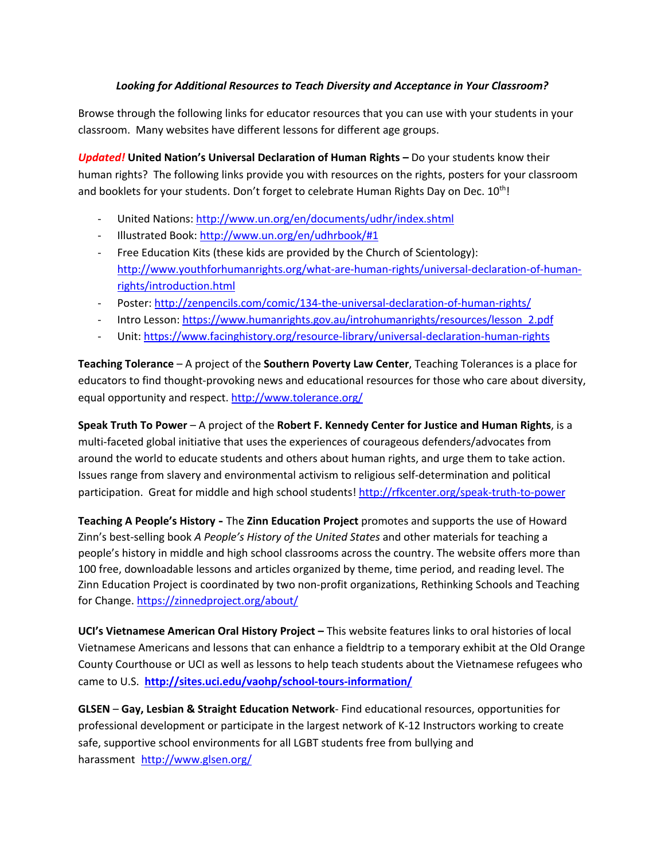## *Looking for Additional Resources to Teach Diversity and Acceptance in Your Classroom?*

Browse through the following links for educator resources that you can use with your students in your classroom. Many websites have different lessons for different age groups.

*Updated!* **United Nation's Universal Declaration of Human Rights –** Do your students know their human rights? The following links provide you with resources on the rights, posters for your classroom and booklets for your students. Don't forget to celebrate Human Rights Day on Dec.  $10^{th}$ !

- United Nations: http://www.un.org/en/documents/udhr/index.shtml
- Illustrated Book: http://www.un.org/en/udhrbook/#1
- Free Education Kits (these kids are provided by the Church of Scientology): http://www.youthforhumanrights.org/what-are-human-rights/universal-declaration-of-humanrights/introduction.html
- Poster: http://zenpencils.com/comic/134-the-universal-declaration-of-human-rights/
- Intro Lesson: https://www.humanrights.gov.au/introhumanrights/resources/lesson\_2.pdf
- Unit: https://www.facinghistory.org/resource-library/universal-declaration-human-rights

**Teaching Tolerance** – A project of the **Southern Poverty Law Center**, Teaching Tolerances is a place for educators to find thought-provoking news and educational resources for those who care about diversity, equal opportunity and respect. http://www.tolerance.org/

**Speak Truth To Power** – A project of the **Robert F. Kennedy Center for Justice and Human Rights**, is a multi-faceted global initiative that uses the experiences of courageous defenders/advocates from around the world to educate students and others about human rights, and urge them to take action. Issues range from slavery and environmental activism to religious self-determination and political participation. Great for middle and high school students! http://rfkcenter.org/speak-truth-to-power

**Teaching A People's History -** The **Zinn Education Project** promotes and supports the use of Howard Zinn's best-selling book *A People's History of the United States* and other materials for teaching a people's history in middle and high school classrooms across the country. The website offers more than 100 free, downloadable lessons and articles organized by theme, time period, and reading level. The Zinn Education Project is coordinated by two non-profit organizations, Rethinking Schools and Teaching for Change. https://zinnedproject.org/about/

**UCI's Vietnamese American Oral History Project –** This website features links to oral histories of local Vietnamese Americans and lessons that can enhance a fieldtrip to a temporary exhibit at the Old Orange County Courthouse or UCI as well as lessons to help teach students about the Vietnamese refugees who came to U.S. **http://sites.uci.edu/vaohp/school-tours-information/**

**GLSEN** – **Gay, Lesbian & Straight Education Network**- Find educational resources, opportunities for professional development or participate in the largest network of K-12 Instructors working to create safe, supportive school environments for all LGBT students free from bullying and harassment http://www.glsen.org/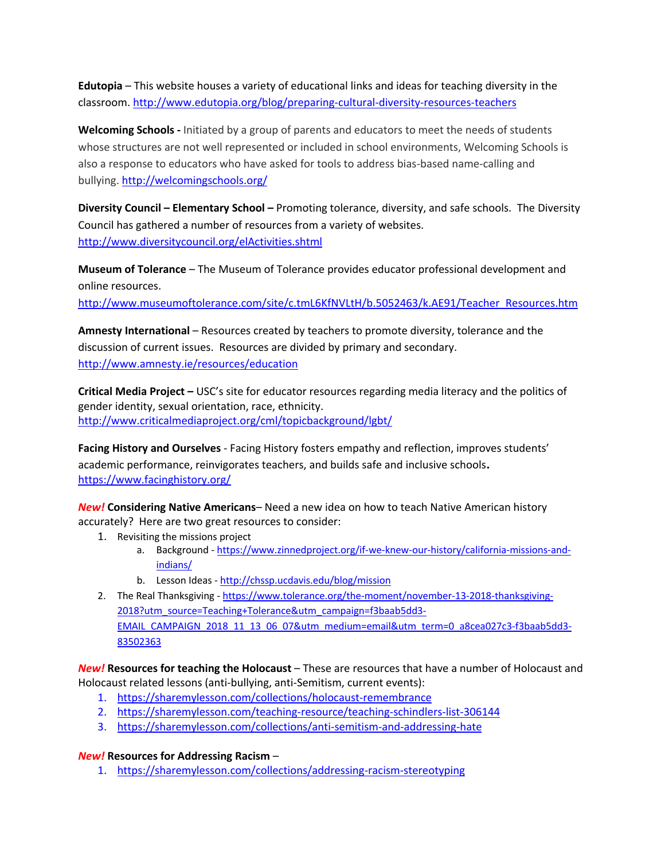**Edutopia** – This website houses a variety of educational links and ideas for teaching diversity in the classroom. http://www.edutopia.org/blog/preparing-cultural-diversity-resources-teachers

**Welcoming Schools -** Initiated by a group of parents and educators to meet the needs of students whose structures are not well represented or included in school environments, Welcoming Schools is also a response to educators who have asked for tools to address bias-based name-calling and bullying. http://welcomingschools.org/

**Diversity Council – Elementary School –** Promoting tolerance, diversity, and safe schools. The Diversity Council has gathered a number of resources from a variety of websites. http://www.diversitycouncil.org/elActivities.shtml

**Museum of Tolerance** – The Museum of Tolerance provides educator professional development and online resources.

http://www.museumoftolerance.com/site/c.tmL6KfNVLtH/b.5052463/k.AE91/Teacher\_Resources.htm

**Amnesty International** – Resources created by teachers to promote diversity, tolerance and the discussion of current issues. Resources are divided by primary and secondary. http://www.amnesty.ie/resources/education

**Critical Media Project –** USC's site for educator resources regarding media literacy and the politics of gender identity, sexual orientation, race, ethnicity. http://www.criticalmediaproject.org/cml/topicbackground/lgbt/

**Facing History and Ourselves** - Facing History fosters empathy and reflection, improves students' academic performance, reinvigorates teachers, and builds safe and inclusive schools. https://www.facinghistory.org/

*New!* **Considering Native Americans**– Need a new idea on how to teach Native American history accurately? Here are two great resources to consider:

- 1. Revisiting the missions project
	- a. Background https://www.zinnedproject.org/if-we-knew-our-history/california-missions-andindians/
	- b. Lesson Ideas http://chssp.ucdavis.edu/blog/mission
- 2. The Real Thanksgiving https://www.tolerance.org/the-moment/november-13-2018-thanksgiving-2018?utm\_source=Teaching+Tolerance&utm\_campaign=f3baab5dd3- EMAIL\_CAMPAIGN\_2018\_11\_13\_06\_07&utm\_medium=email&utm\_term=0\_a8cea027c3-f3baab5dd3-83502363

*New!* **Resources for teaching the Holocaust** – These are resources that have a number of Holocaust and Holocaust related lessons (anti-bullying, anti-Semitism, current events):

- 1. https://sharemylesson.com/collections/holocaust-remembrance
- 2. https://sharemylesson.com/teaching-resource/teaching-schindlers-list-306144
- 3. https://sharemylesson.com/collections/anti-semitism-and-addressing-hate

## *New!* **Resources for Addressing Racism** –

1. https://sharemylesson.com/collections/addressing-racism-stereotyping